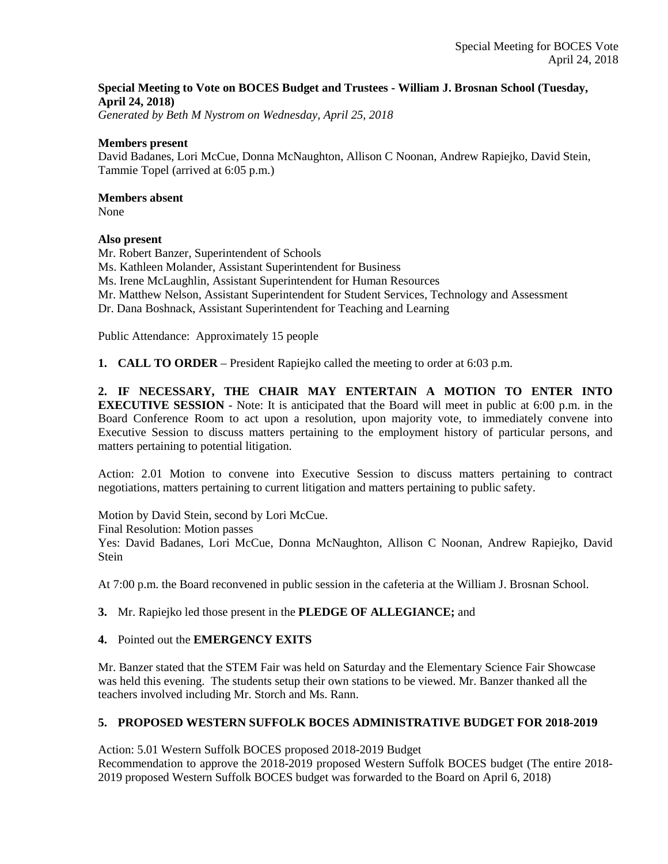## **Special Meeting to Vote on BOCES Budget and Trustees - William J. Brosnan School (Tuesday, April 24, 2018)**

*Generated by Beth M Nystrom on Wednesday, April 25, 2018*

### **Members present**

David Badanes, Lori McCue, Donna McNaughton, Allison C Noonan, Andrew Rapiejko, David Stein, Tammie Topel (arrived at 6:05 p.m.)

### **Members absent**

None

## **Also present**

Mr. Robert Banzer, Superintendent of Schools Ms. Kathleen Molander, Assistant Superintendent for Business Ms. Irene McLaughlin, Assistant Superintendent for Human Resources Mr. Matthew Nelson, Assistant Superintendent for Student Services, Technology and Assessment Dr. Dana Boshnack, Assistant Superintendent for Teaching and Learning

Public Attendance: Approximately 15 people

**1. CALL TO ORDER** – President Rapiejko called the meeting to order at 6:03 p.m.

**2. IF NECESSARY, THE CHAIR MAY ENTERTAIN A MOTION TO ENTER INTO EXECUTIVE SESSION** - Note: It is anticipated that the Board will meet in public at 6:00 p.m. in the Board Conference Room to act upon a resolution, upon majority vote, to immediately convene into Executive Session to discuss matters pertaining to the employment history of particular persons, and matters pertaining to potential litigation.

Action: 2.01 Motion to convene into Executive Session to discuss matters pertaining to contract negotiations, matters pertaining to current litigation and matters pertaining to public safety.

Motion by David Stein, second by Lori McCue.

Final Resolution: Motion passes

Yes: David Badanes, Lori McCue, Donna McNaughton, Allison C Noonan, Andrew Rapiejko, David **Stein** 

At 7:00 p.m. the Board reconvened in public session in the cafeteria at the William J. Brosnan School.

## **3.** Mr. Rapiejko led those present in the **PLEDGE OF ALLEGIANCE;** and

## **4.** Pointed out the **EMERGENCY EXITS**

Mr. Banzer stated that the STEM Fair was held on Saturday and the Elementary Science Fair Showcase was held this evening. The students setup their own stations to be viewed. Mr. Banzer thanked all the teachers involved including Mr. Storch and Ms. Rann.

# **5. PROPOSED WESTERN SUFFOLK BOCES ADMINISTRATIVE BUDGET FOR 2018-2019**

Action: 5.01 Western Suffolk BOCES proposed 2018-2019 Budget

Recommendation to approve the 2018-2019 proposed Western Suffolk BOCES budget (The entire 2018- 2019 proposed Western Suffolk BOCES budget was forwarded to the Board on April 6, 2018)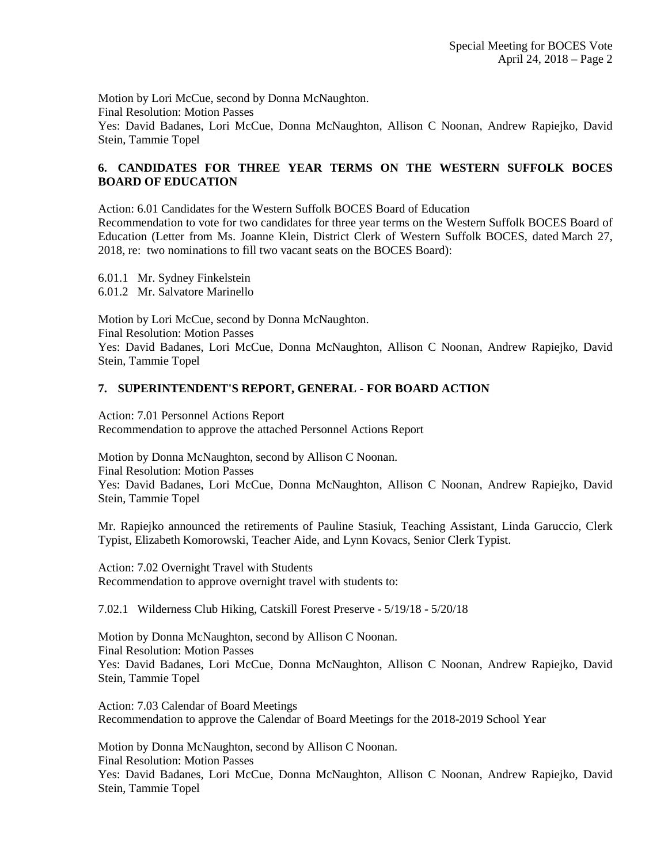Motion by Lori McCue, second by Donna McNaughton. Final Resolution: Motion Passes Yes: David Badanes, Lori McCue, Donna McNaughton, Allison C Noonan, Andrew Rapiejko, David Stein, Tammie Topel

# **6. CANDIDATES FOR THREE YEAR TERMS ON THE WESTERN SUFFOLK BOCES BOARD OF EDUCATION**

Action: 6.01 Candidates for the Western Suffolk BOCES Board of Education

Recommendation to vote for two candidates for three year terms on the Western Suffolk BOCES Board of Education (Letter from Ms. Joanne Klein, District Clerk of Western Suffolk BOCES, dated March 27, 2018, re: two nominations to fill two vacant seats on the BOCES Board):

6.01.1 Mr. Sydney Finkelstein 6.01.2 Mr. Salvatore Marinello

Motion by Lori McCue, second by Donna McNaughton. Final Resolution: Motion Passes Yes: David Badanes, Lori McCue, Donna McNaughton, Allison C Noonan, Andrew Rapiejko, David Stein, Tammie Topel

## **7. SUPERINTENDENT'S REPORT, GENERAL - FOR BOARD ACTION**

Action: 7.01 Personnel Actions Report Recommendation to approve the attached Personnel Actions Report

Motion by Donna McNaughton, second by Allison C Noonan. Final Resolution: Motion Passes Yes: David Badanes, Lori McCue, Donna McNaughton, Allison C Noonan, Andrew Rapiejko, David Stein, Tammie Topel

Mr. Rapiejko announced the retirements of Pauline Stasiuk, Teaching Assistant, Linda Garuccio, Clerk Typist, Elizabeth Komorowski, Teacher Aide, and Lynn Kovacs, Senior Clerk Typist.

Action: 7.02 Overnight Travel with Students Recommendation to approve overnight travel with students to:

7.02.1 Wilderness Club Hiking, Catskill Forest Preserve - 5/19/18 - 5/20/18

Motion by Donna McNaughton, second by Allison C Noonan. Final Resolution: Motion Passes Yes: David Badanes, Lori McCue, Donna McNaughton, Allison C Noonan, Andrew Rapiejko, David Stein, Tammie Topel

Action: 7.03 Calendar of Board Meetings Recommendation to approve the Calendar of Board Meetings for the 2018-2019 School Year

Motion by Donna McNaughton, second by Allison C Noonan. Final Resolution: Motion Passes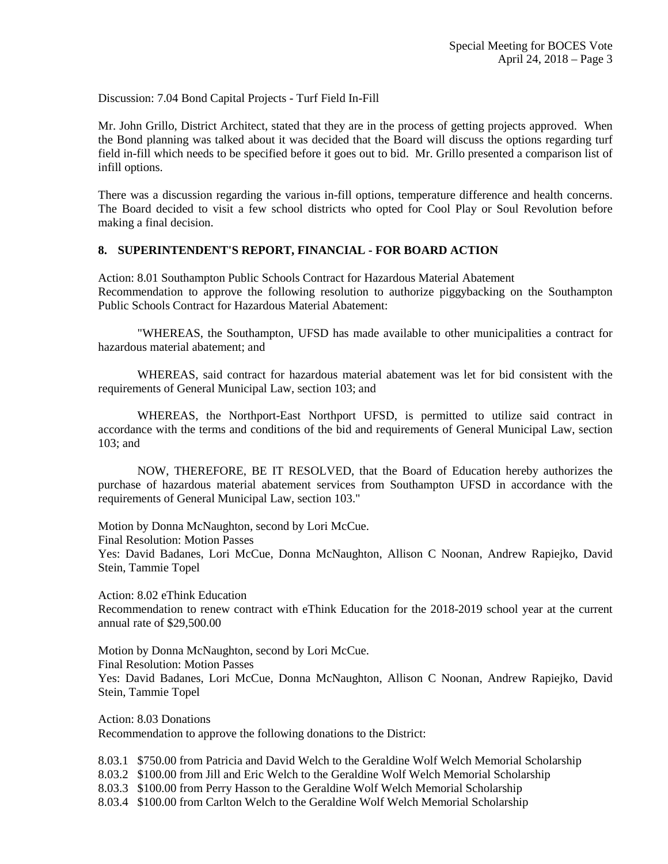Discussion: 7.04 Bond Capital Projects - Turf Field In-Fill

Mr. John Grillo, District Architect, stated that they are in the process of getting projects approved. When the Bond planning was talked about it was decided that the Board will discuss the options regarding turf field in-fill which needs to be specified before it goes out to bid. Mr. Grillo presented a comparison list of infill options.

There was a discussion regarding the various in-fill options, temperature difference and health concerns. The Board decided to visit a few school districts who opted for Cool Play or Soul Revolution before making a final decision.

### **8. SUPERINTENDENT'S REPORT, FINANCIAL - FOR BOARD ACTION**

Action: 8.01 Southampton Public Schools Contract for Hazardous Material Abatement Recommendation to approve the following resolution to authorize piggybacking on the Southampton Public Schools Contract for Hazardous Material Abatement:

"WHEREAS, the Southampton, UFSD has made available to other municipalities a contract for hazardous material abatement; and

WHEREAS, said contract for hazardous material abatement was let for bid consistent with the requirements of General Municipal Law, section 103; and

WHEREAS, the Northport-East Northport UFSD, is permitted to utilize said contract in accordance with the terms and conditions of the bid and requirements of General Municipal Law, section 103; and

NOW, THEREFORE, BE IT RESOLVED, that the Board of Education hereby authorizes the purchase of hazardous material abatement services from Southampton UFSD in accordance with the requirements of General Municipal Law, section 103."

Motion by Donna McNaughton, second by Lori McCue.

Final Resolution: Motion Passes

Yes: David Badanes, Lori McCue, Donna McNaughton, Allison C Noonan, Andrew Rapiejko, David Stein, Tammie Topel

Action: 8.02 eThink Education

Recommendation to renew contract with eThink Education for the 2018-2019 school year at the current annual rate of \$29,500.00

Motion by Donna McNaughton, second by Lori McCue.

Final Resolution: Motion Passes

Yes: David Badanes, Lori McCue, Donna McNaughton, Allison C Noonan, Andrew Rapiejko, David Stein, Tammie Topel

Action: 8.03 Donations Recommendation to approve the following donations to the District:

8.03.1 \$750.00 from Patricia and David Welch to the Geraldine Wolf Welch Memorial Scholarship

8.03.2 \$100.00 from Jill and Eric Welch to the Geraldine Wolf Welch Memorial Scholarship

8.03.3 \$100.00 from Perry Hasson to the Geraldine Wolf Welch Memorial Scholarship

8.03.4 \$100.00 from Carlton Welch to the Geraldine Wolf Welch Memorial Scholarship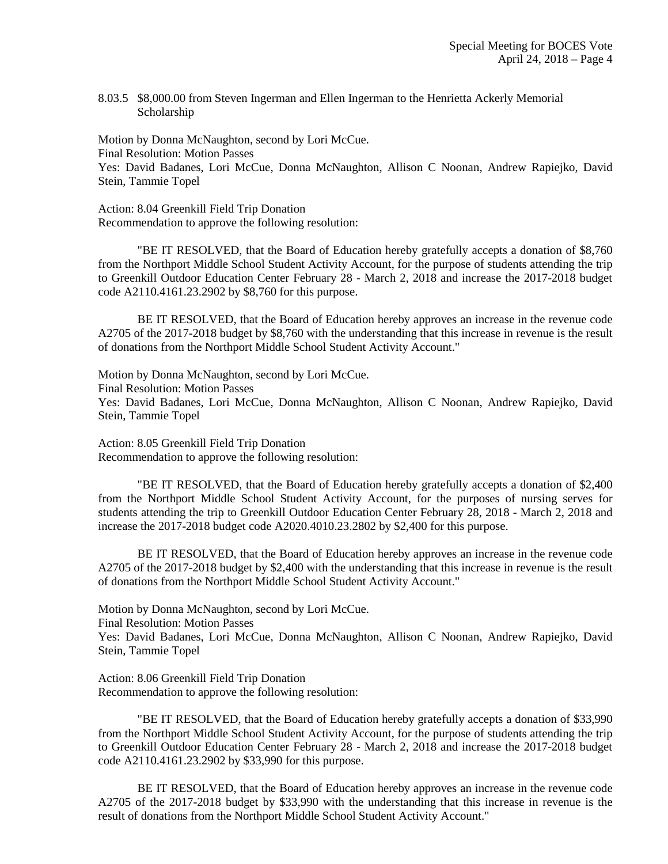8.03.5 \$8,000.00 from Steven Ingerman and Ellen Ingerman to the Henrietta Ackerly Memorial Scholarship

Motion by Donna McNaughton, second by Lori McCue. Final Resolution: Motion Passes Yes: David Badanes, Lori McCue, Donna McNaughton, Allison C Noonan, Andrew Rapiejko, David Stein, Tammie Topel

Action: 8.04 Greenkill Field Trip Donation Recommendation to approve the following resolution:

"BE IT RESOLVED, that the Board of Education hereby gratefully accepts a donation of \$8,760 from the Northport Middle School Student Activity Account, for the purpose of students attending the trip to Greenkill Outdoor Education Center February 28 - March 2, 2018 and increase the 2017-2018 budget code A2110.4161.23.2902 by \$8,760 for this purpose.

BE IT RESOLVED, that the Board of Education hereby approves an increase in the revenue code A2705 of the 2017-2018 budget by \$8,760 with the understanding that this increase in revenue is the result of donations from the Northport Middle School Student Activity Account."

Motion by Donna McNaughton, second by Lori McCue. Final Resolution: Motion Passes Yes: David Badanes, Lori McCue, Donna McNaughton, Allison C Noonan, Andrew Rapiejko, David Stein, Tammie Topel

Action: 8.05 Greenkill Field Trip Donation Recommendation to approve the following resolution:

"BE IT RESOLVED, that the Board of Education hereby gratefully accepts a donation of \$2,400 from the Northport Middle School Student Activity Account, for the purposes of nursing serves for students attending the trip to Greenkill Outdoor Education Center February 28, 2018 - March 2, 2018 and increase the 2017-2018 budget code A2020.4010.23.2802 by \$2,400 for this purpose.

BE IT RESOLVED, that the Board of Education hereby approves an increase in the revenue code A2705 of the 2017-2018 budget by \$2,400 with the understanding that this increase in revenue is the result of donations from the Northport Middle School Student Activity Account."

Motion by Donna McNaughton, second by Lori McCue.

Final Resolution: Motion Passes

Yes: David Badanes, Lori McCue, Donna McNaughton, Allison C Noonan, Andrew Rapiejko, David Stein, Tammie Topel

Action: 8.06 Greenkill Field Trip Donation Recommendation to approve the following resolution:

"BE IT RESOLVED, that the Board of Education hereby gratefully accepts a donation of \$33,990 from the Northport Middle School Student Activity Account, for the purpose of students attending the trip to Greenkill Outdoor Education Center February 28 - March 2, 2018 and increase the 2017-2018 budget code A2110.4161.23.2902 by \$33,990 for this purpose.

BE IT RESOLVED, that the Board of Education hereby approves an increase in the revenue code A2705 of the 2017-2018 budget by \$33,990 with the understanding that this increase in revenue is the result of donations from the Northport Middle School Student Activity Account."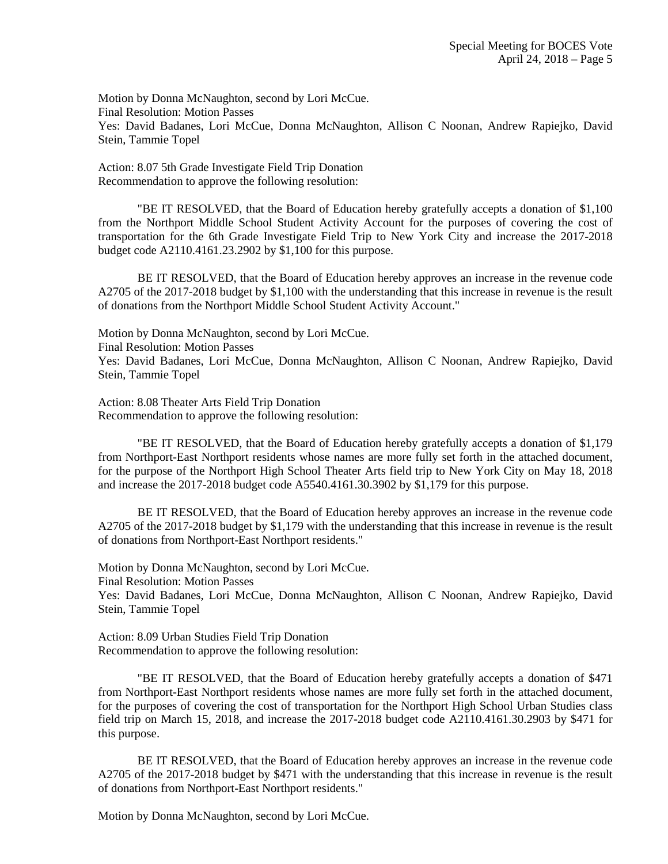Motion by Donna McNaughton, second by Lori McCue. Final Resolution: Motion Passes Yes: David Badanes, Lori McCue, Donna McNaughton, Allison C Noonan, Andrew Rapiejko, David Stein, Tammie Topel

Action: 8.07 5th Grade Investigate Field Trip Donation Recommendation to approve the following resolution:

"BE IT RESOLVED, that the Board of Education hereby gratefully accepts a donation of \$1,100 from the Northport Middle School Student Activity Account for the purposes of covering the cost of transportation for the 6th Grade Investigate Field Trip to New York City and increase the 2017-2018 budget code A2110.4161.23.2902 by \$1,100 for this purpose.

BE IT RESOLVED, that the Board of Education hereby approves an increase in the revenue code A2705 of the 2017-2018 budget by \$1,100 with the understanding that this increase in revenue is the result of donations from the Northport Middle School Student Activity Account."

Motion by Donna McNaughton, second by Lori McCue.

Final Resolution: Motion Passes

Yes: David Badanes, Lori McCue, Donna McNaughton, Allison C Noonan, Andrew Rapiejko, David Stein, Tammie Topel

Action: 8.08 Theater Arts Field Trip Donation Recommendation to approve the following resolution:

"BE IT RESOLVED, that the Board of Education hereby gratefully accepts a donation of \$1,179 from Northport-East Northport residents whose names are more fully set forth in the attached document, for the purpose of the Northport High School Theater Arts field trip to New York City on May 18, 2018 and increase the 2017-2018 budget code A5540.4161.30.3902 by \$1,179 for this purpose.

BE IT RESOLVED, that the Board of Education hereby approves an increase in the revenue code A2705 of the 2017-2018 budget by \$1,179 with the understanding that this increase in revenue is the result of donations from Northport-East Northport residents."

Motion by Donna McNaughton, second by Lori McCue.

Final Resolution: Motion Passes

Yes: David Badanes, Lori McCue, Donna McNaughton, Allison C Noonan, Andrew Rapiejko, David Stein, Tammie Topel

Action: 8.09 Urban Studies Field Trip Donation Recommendation to approve the following resolution:

"BE IT RESOLVED, that the Board of Education hereby gratefully accepts a donation of \$471 from Northport-East Northport residents whose names are more fully set forth in the attached document, for the purposes of covering the cost of transportation for the Northport High School Urban Studies class field trip on March 15, 2018, and increase the 2017-2018 budget code A2110.4161.30.2903 by \$471 for this purpose.

BE IT RESOLVED, that the Board of Education hereby approves an increase in the revenue code A2705 of the 2017-2018 budget by \$471 with the understanding that this increase in revenue is the result of donations from Northport-East Northport residents."

Motion by Donna McNaughton, second by Lori McCue.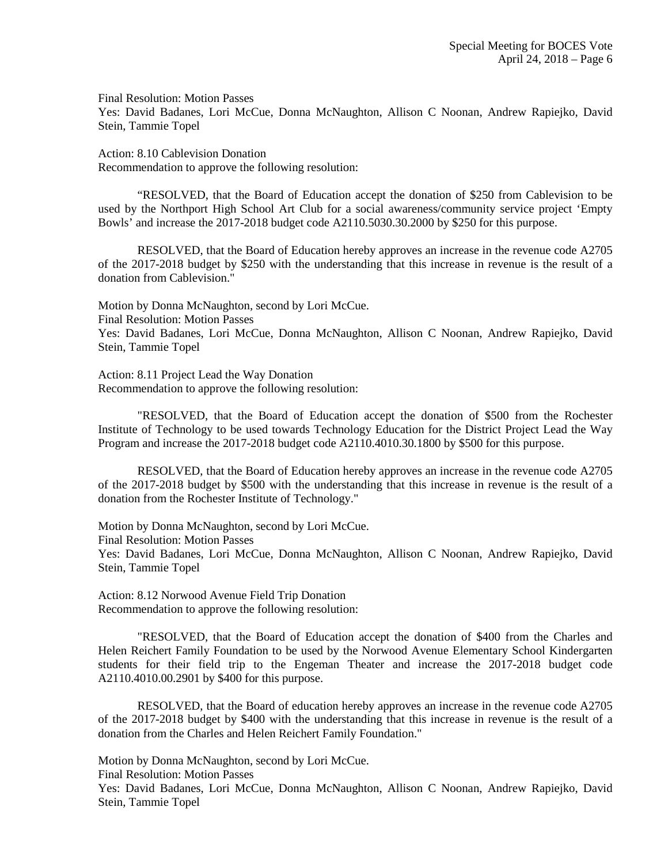Final Resolution: Motion Passes

Yes: David Badanes, Lori McCue, Donna McNaughton, Allison C Noonan, Andrew Rapiejko, David Stein, Tammie Topel

Action: 8.10 Cablevision Donation Recommendation to approve the following resolution:

"RESOLVED, that the Board of Education accept the donation of \$250 from Cablevision to be used by the Northport High School Art Club for a social awareness/community service project 'Empty Bowls' and increase the 2017-2018 budget code A2110.5030.30.2000 by \$250 for this purpose.

RESOLVED, that the Board of Education hereby approves an increase in the revenue code A2705 of the 2017-2018 budget by \$250 with the understanding that this increase in revenue is the result of a donation from Cablevision."

Motion by Donna McNaughton, second by Lori McCue. Final Resolution: Motion Passes Yes: David Badanes, Lori McCue, Donna McNaughton, Allison C Noonan, Andrew Rapiejko, David Stein, Tammie Topel

Action: 8.11 Project Lead the Way Donation Recommendation to approve the following resolution:

"RESOLVED, that the Board of Education accept the donation of \$500 from the Rochester Institute of Technology to be used towards Technology Education for the District Project Lead the Way Program and increase the 2017-2018 budget code A2110.4010.30.1800 by \$500 for this purpose.

RESOLVED, that the Board of Education hereby approves an increase in the revenue code A2705 of the 2017-2018 budget by \$500 with the understanding that this increase in revenue is the result of a donation from the Rochester Institute of Technology."

Motion by Donna McNaughton, second by Lori McCue.

Final Resolution: Motion Passes

Yes: David Badanes, Lori McCue, Donna McNaughton, Allison C Noonan, Andrew Rapiejko, David Stein, Tammie Topel

Action: 8.12 Norwood Avenue Field Trip Donation Recommendation to approve the following resolution:

"RESOLVED, that the Board of Education accept the donation of \$400 from the Charles and Helen Reichert Family Foundation to be used by the Norwood Avenue Elementary School Kindergarten students for their field trip to the Engeman Theater and increase the 2017-2018 budget code A2110.4010.00.2901 by \$400 for this purpose.

RESOLVED, that the Board of education hereby approves an increase in the revenue code A2705 of the 2017-2018 budget by \$400 with the understanding that this increase in revenue is the result of a donation from the Charles and Helen Reichert Family Foundation."

Motion by Donna McNaughton, second by Lori McCue.

Final Resolution: Motion Passes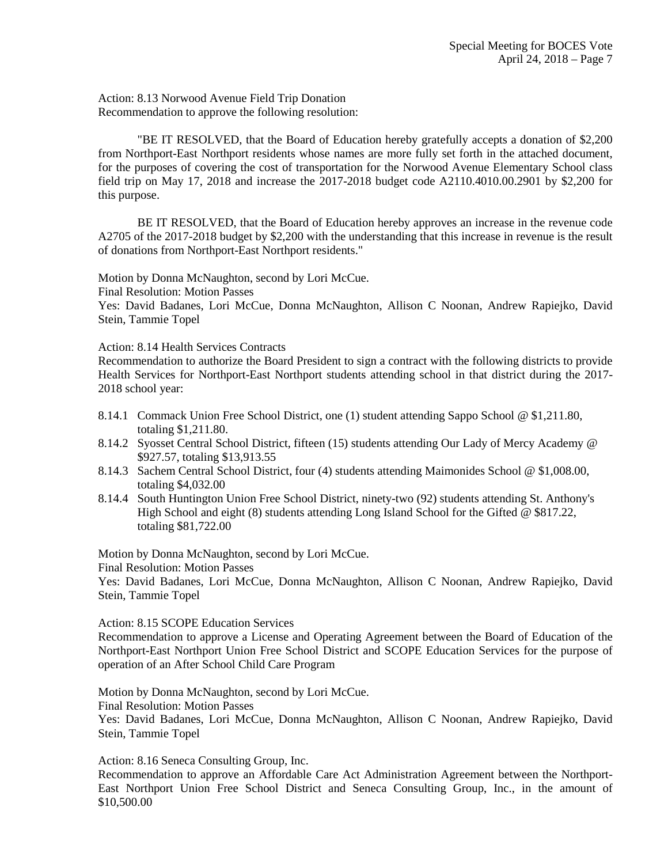Action: 8.13 Norwood Avenue Field Trip Donation Recommendation to approve the following resolution:

"BE IT RESOLVED, that the Board of Education hereby gratefully accepts a donation of \$2,200 from Northport-East Northport residents whose names are more fully set forth in the attached document, for the purposes of covering the cost of transportation for the Norwood Avenue Elementary School class field trip on May 17, 2018 and increase the 2017-2018 budget code A2110.4010.00.2901 by \$2,200 for this purpose.

BE IT RESOLVED, that the Board of Education hereby approves an increase in the revenue code A2705 of the 2017-2018 budget by \$2,200 with the understanding that this increase in revenue is the result of donations from Northport-East Northport residents."

Motion by Donna McNaughton, second by Lori McCue.

Final Resolution: Motion Passes

Yes: David Badanes, Lori McCue, Donna McNaughton, Allison C Noonan, Andrew Rapiejko, David Stein, Tammie Topel

### Action: 8.14 Health Services Contracts

Recommendation to authorize the Board President to sign a contract with the following districts to provide Health Services for Northport-East Northport students attending school in that district during the 2017- 2018 school year:

- 8.14.1 Commack Union Free School District, one (1) student attending Sappo School @ \$1,211.80, totaling \$1,211.80.
- 8.14.2 Syosset Central School District, fifteen (15) students attending Our Lady of Mercy Academy @ \$927.57, totaling \$13,913.55
- 8.14.3 Sachem Central School District, four (4) students attending Maimonides School @ \$1,008.00, totaling \$4,032.00
- 8.14.4 South Huntington Union Free School District, ninety-two (92) students attending St. Anthony's High School and eight (8) students attending Long Island School for the Gifted @ \$817.22, totaling \$81,722.00

Motion by Donna McNaughton, second by Lori McCue.

Final Resolution: Motion Passes

Yes: David Badanes, Lori McCue, Donna McNaughton, Allison C Noonan, Andrew Rapiejko, David Stein, Tammie Topel

Action: 8.15 SCOPE Education Services

Recommendation to approve a License and Operating Agreement between the Board of Education of the Northport-East Northport Union Free School District and SCOPE Education Services for the purpose of operation of an After School Child Care Program

Motion by Donna McNaughton, second by Lori McCue.

Final Resolution: Motion Passes

Yes: David Badanes, Lori McCue, Donna McNaughton, Allison C Noonan, Andrew Rapiejko, David Stein, Tammie Topel

Action: 8.16 Seneca Consulting Group, Inc.

Recommendation to approve an Affordable Care Act Administration Agreement between the Northport-East Northport Union Free School District and Seneca Consulting Group, Inc., in the amount of \$10,500.00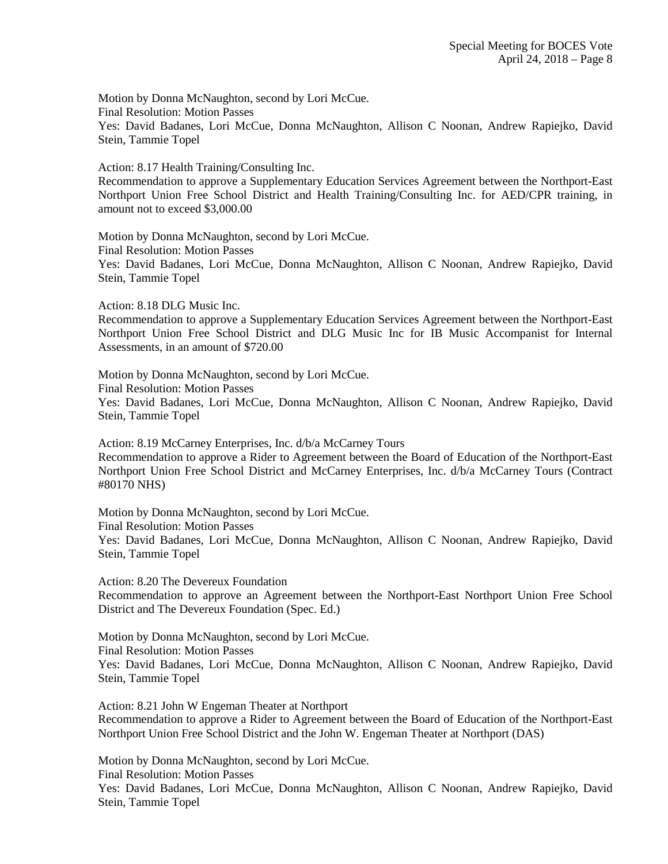Motion by Donna McNaughton, second by Lori McCue. Final Resolution: Motion Passes Yes: David Badanes, Lori McCue, Donna McNaughton, Allison C Noonan, Andrew Rapiejko, David Stein, Tammie Topel

Action: 8.17 Health Training/Consulting Inc.

Recommendation to approve a Supplementary Education Services Agreement between the Northport-East Northport Union Free School District and Health Training/Consulting Inc. for AED/CPR training, in amount not to exceed \$3,000.00

Motion by Donna McNaughton, second by Lori McCue.

Final Resolution: Motion Passes

Yes: David Badanes, Lori McCue, Donna McNaughton, Allison C Noonan, Andrew Rapiejko, David Stein, Tammie Topel

Action: 8.18 DLG Music Inc.

Recommendation to approve a Supplementary Education Services Agreement between the Northport-East Northport Union Free School District and DLG Music Inc for IB Music Accompanist for Internal Assessments, in an amount of \$720.00

Motion by Donna McNaughton, second by Lori McCue. Final Resolution: Motion Passes Yes: David Badanes, Lori McCue, Donna McNaughton, Allison C Noonan, Andrew Rapiejko, David Stein, Tammie Topel

Action: 8.19 McCarney Enterprises, Inc. d/b/a McCarney Tours Recommendation to approve a Rider to Agreement between the Board of Education of the Northport-East Northport Union Free School District and McCarney Enterprises, Inc. d/b/a McCarney Tours (Contract #80170 NHS)

Motion by Donna McNaughton, second by Lori McCue. Final Resolution: Motion Passes Yes: David Badanes, Lori McCue, Donna McNaughton, Allison C Noonan, Andrew Rapiejko, David Stein, Tammie Topel

Action: 8.20 The Devereux Foundation Recommendation to approve an Agreement between the Northport-East Northport Union Free School District and The Devereux Foundation (Spec. Ed.)

Motion by Donna McNaughton, second by Lori McCue. Final Resolution: Motion Passes Yes: David Badanes, Lori McCue, Donna McNaughton, Allison C Noonan, Andrew Rapiejko, David Stein, Tammie Topel

Action: 8.21 John W Engeman Theater at Northport Recommendation to approve a Rider to Agreement between the Board of Education of the Northport-East Northport Union Free School District and the John W. Engeman Theater at Northport (DAS)

Motion by Donna McNaughton, second by Lori McCue.

Final Resolution: Motion Passes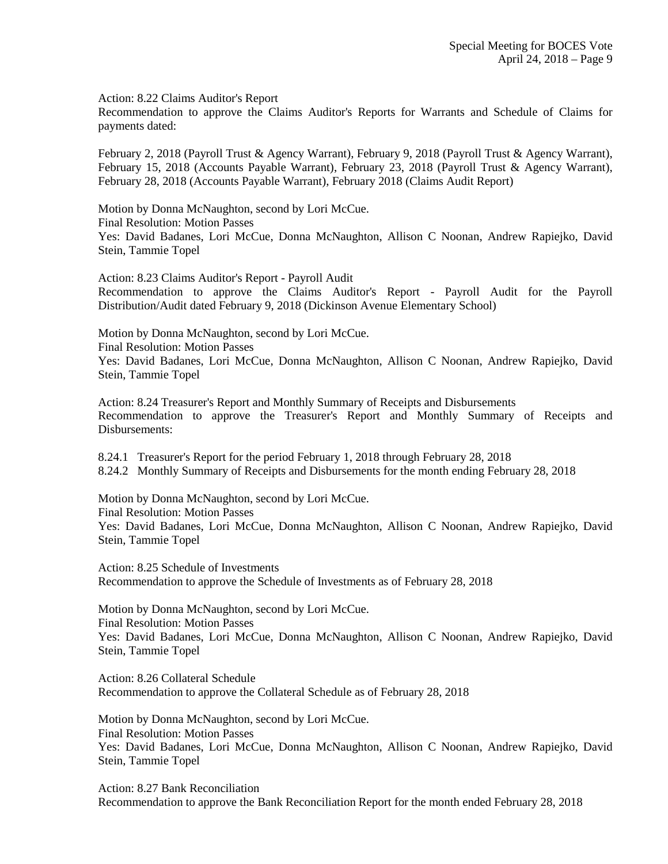Action: 8.22 Claims Auditor's Report

Recommendation to approve the Claims Auditor's Reports for Warrants and Schedule of Claims for payments dated:

February 2, 2018 (Payroll Trust & Agency Warrant), February 9, 2018 (Payroll Trust & Agency Warrant), February 15, 2018 (Accounts Payable Warrant), February 23, 2018 (Payroll Trust & Agency Warrant), February 28, 2018 (Accounts Payable Warrant), February 2018 (Claims Audit Report)

Motion by Donna McNaughton, second by Lori McCue.

Final Resolution: Motion Passes

Yes: David Badanes, Lori McCue, Donna McNaughton, Allison C Noonan, Andrew Rapiejko, David Stein, Tammie Topel

Action: 8.23 Claims Auditor's Report - Payroll Audit Recommendation to approve the Claims Auditor's Report - Payroll Audit for the Payroll Distribution/Audit dated February 9, 2018 (Dickinson Avenue Elementary School)

Motion by Donna McNaughton, second by Lori McCue. Final Resolution: Motion Passes Yes: David Badanes, Lori McCue, Donna McNaughton, Allison C Noonan, Andrew Rapiejko, David Stein, Tammie Topel

Action: 8.24 Treasurer's Report and Monthly Summary of Receipts and Disbursements Recommendation to approve the Treasurer's Report and Monthly Summary of Receipts and Disbursements:

8.24.1 Treasurer's Report for the period February 1, 2018 through February 28, 2018 8.24.2 Monthly Summary of Receipts and Disbursements for the month ending February 28, 2018

Motion by Donna McNaughton, second by Lori McCue. Final Resolution: Motion Passes

Yes: David Badanes, Lori McCue, Donna McNaughton, Allison C Noonan, Andrew Rapiejko, David Stein, Tammie Topel

Action: 8.25 Schedule of Investments Recommendation to approve the Schedule of Investments as of February 28, 2018

Motion by Donna McNaughton, second by Lori McCue. Final Resolution: Motion Passes Yes: David Badanes, Lori McCue, Donna McNaughton, Allison C Noonan, Andrew Rapiejko, David Stein, Tammie Topel

Action: 8.26 Collateral Schedule Recommendation to approve the Collateral Schedule as of February 28, 2018

Motion by Donna McNaughton, second by Lori McCue. Final Resolution: Motion Passes Yes: David Badanes, Lori McCue, Donna McNaughton, Allison C Noonan, Andrew Rapiejko, David Stein, Tammie Topel

Action: 8.27 Bank Reconciliation Recommendation to approve the Bank Reconciliation Report for the month ended February 28, 2018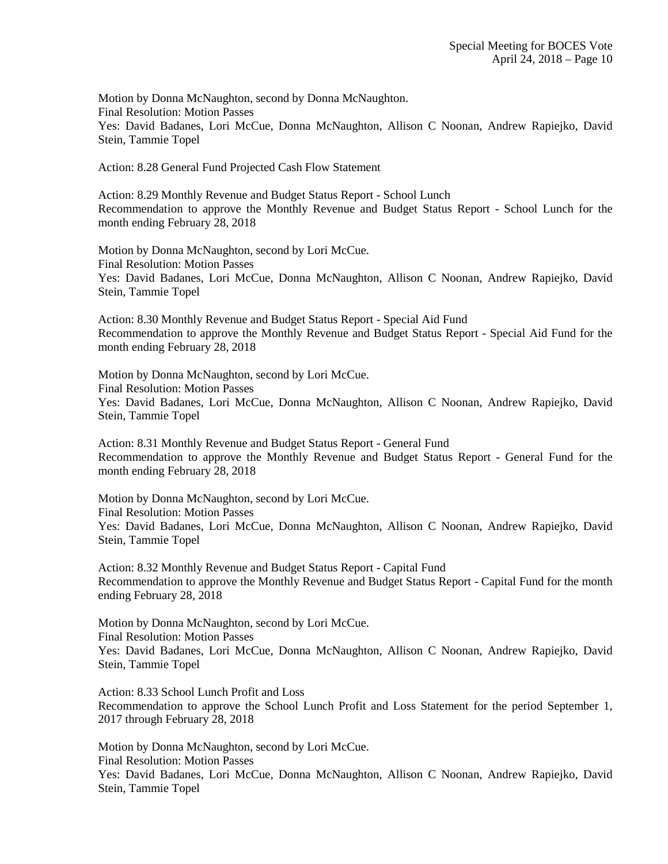Motion by Donna McNaughton, second by Donna McNaughton. Final Resolution: Motion Passes Yes: David Badanes, Lori McCue, Donna McNaughton, Allison C Noonan, Andrew Rapiejko, David Stein, Tammie Topel

Action: 8.28 General Fund Projected Cash Flow Statement

Action: 8.29 Monthly Revenue and Budget Status Report - School Lunch Recommendation to approve the Monthly Revenue and Budget Status Report - School Lunch for the month ending February 28, 2018

Motion by Donna McNaughton, second by Lori McCue. Final Resolution: Motion Passes Yes: David Badanes, Lori McCue, Donna McNaughton, Allison C Noonan, Andrew Rapiejko, David Stein, Tammie Topel

Action: 8.30 Monthly Revenue and Budget Status Report - Special Aid Fund Recommendation to approve the Monthly Revenue and Budget Status Report - Special Aid Fund for the month ending February 28, 2018

Motion by Donna McNaughton, second by Lori McCue. Final Resolution: Motion Passes Yes: David Badanes, Lori McCue, Donna McNaughton, Allison C Noonan, Andrew Rapiejko, David Stein, Tammie Topel

Action: 8.31 Monthly Revenue and Budget Status Report - General Fund Recommendation to approve the Monthly Revenue and Budget Status Report - General Fund for the month ending February 28, 2018

Motion by Donna McNaughton, second by Lori McCue. Final Resolution: Motion Passes Yes: David Badanes, Lori McCue, Donna McNaughton, Allison C Noonan, Andrew Rapiejko, David Stein, Tammie Topel

Action: 8.32 Monthly Revenue and Budget Status Report - Capital Fund Recommendation to approve the Monthly Revenue and Budget Status Report - Capital Fund for the month ending February 28, 2018

Motion by Donna McNaughton, second by Lori McCue. Final Resolution: Motion Passes Yes: David Badanes, Lori McCue, Donna McNaughton, Allison C Noonan, Andrew Rapiejko, David Stein, Tammie Topel

Action: 8.33 School Lunch Profit and Loss Recommendation to approve the School Lunch Profit and Loss Statement for the period September 1, 2017 through February 28, 2018

Motion by Donna McNaughton, second by Lori McCue. Final Resolution: Motion Passes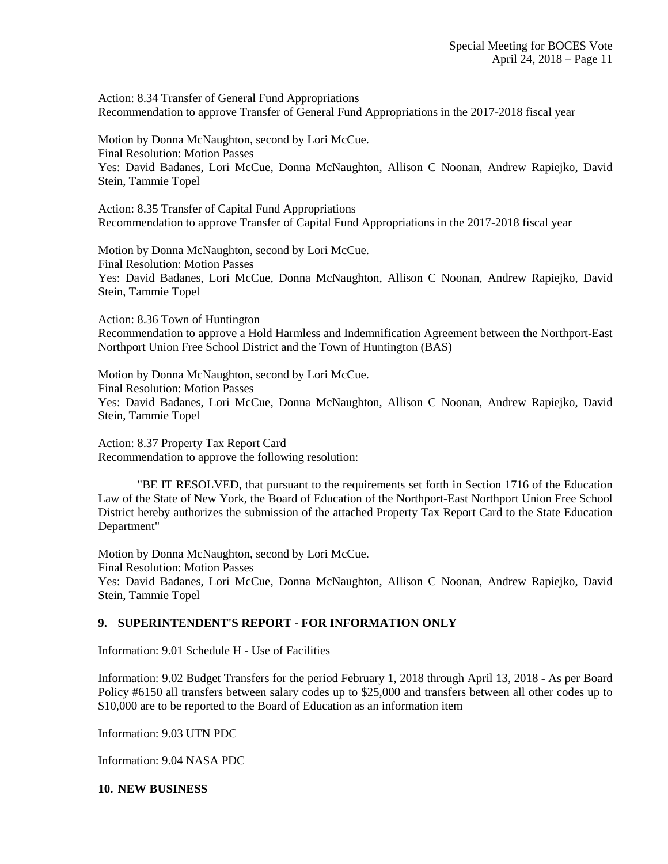Action: 8.34 Transfer of General Fund Appropriations Recommendation to approve Transfer of General Fund Appropriations in the 2017-2018 fiscal year

Motion by Donna McNaughton, second by Lori McCue. Final Resolution: Motion Passes Yes: David Badanes, Lori McCue, Donna McNaughton, Allison C Noonan, Andrew Rapiejko, David Stein, Tammie Topel

Action: 8.35 Transfer of Capital Fund Appropriations Recommendation to approve Transfer of Capital Fund Appropriations in the 2017-2018 fiscal year

Motion by Donna McNaughton, second by Lori McCue. Final Resolution: Motion Passes Yes: David Badanes, Lori McCue, Donna McNaughton, Allison C Noonan, Andrew Rapiejko, David Stein, Tammie Topel

Action: 8.36 Town of Huntington Recommendation to approve a Hold Harmless and Indemnification Agreement between the Northport-East Northport Union Free School District and the Town of Huntington (BAS)

Motion by Donna McNaughton, second by Lori McCue. Final Resolution: Motion Passes Yes: David Badanes, Lori McCue, Donna McNaughton, Allison C Noonan, Andrew Rapiejko, David Stein, Tammie Topel

Action: 8.37 Property Tax Report Card Recommendation to approve the following resolution:

"BE IT RESOLVED, that pursuant to the requirements set forth in Section 1716 of the Education Law of the State of New York, the Board of Education of the Northport-East Northport Union Free School District hereby authorizes the submission of the attached Property Tax Report Card to the State Education Department"

Motion by Donna McNaughton, second by Lori McCue. Final Resolution: Motion Passes Yes: David Badanes, Lori McCue, Donna McNaughton, Allison C Noonan, Andrew Rapiejko, David Stein, Tammie Topel

## **9. SUPERINTENDENT'S REPORT - FOR INFORMATION ONLY**

Information: 9.01 Schedule H - Use of Facilities

Information: 9.02 Budget Transfers for the period February 1, 2018 through April 13, 2018 - As per Board Policy #6150 all transfers between salary codes up to \$25,000 and transfers between all other codes up to \$10,000 are to be reported to the Board of Education as an information item

Information: 9.03 UTN PDC

Information: 9.04 NASA PDC

**10. NEW BUSINESS**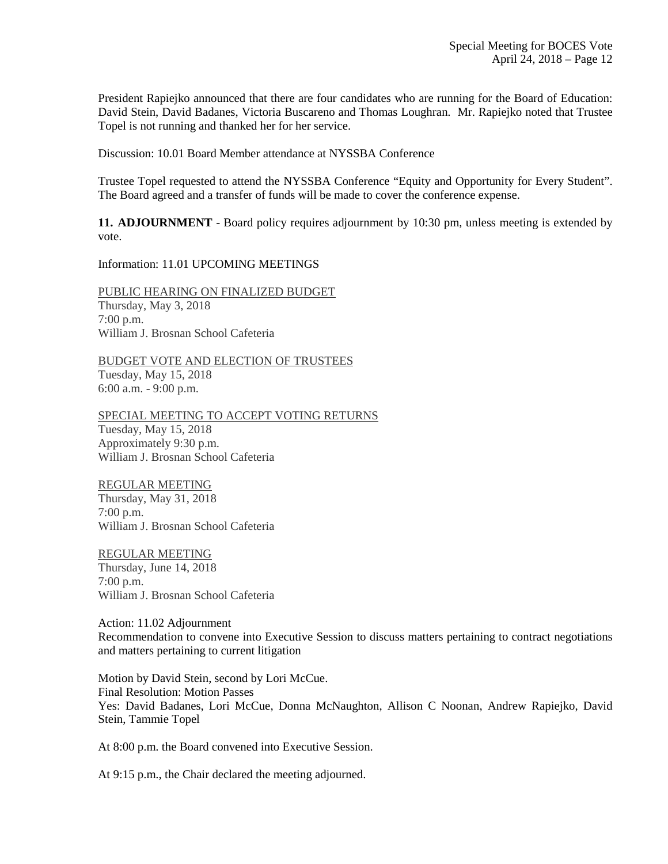President Rapiejko announced that there are four candidates who are running for the Board of Education: David Stein, David Badanes, Victoria Buscareno and Thomas Loughran. Mr. Rapiejko noted that Trustee Topel is not running and thanked her for her service.

Discussion: 10.01 Board Member attendance at NYSSBA Conference

Trustee Topel requested to attend the NYSSBA Conference "Equity and Opportunity for Every Student". The Board agreed and a transfer of funds will be made to cover the conference expense.

**11. ADJOURNMENT** - Board policy requires adjournment by 10:30 pm, unless meeting is extended by vote.

Information: 11.01 UPCOMING MEETINGS

PUBLIC HEARING ON FINALIZED BUDGET Thursday, May 3, 2018 7:00 p.m. William J. Brosnan School Cafeteria

BUDGET VOTE AND ELECTION OF TRUSTEES Tuesday, May 15, 2018 6:00 a.m. - 9:00 p.m.

SPECIAL MEETING TO ACCEPT VOTING RETURNS Tuesday, May 15, 2018 Approximately 9:30 p.m. William J. Brosnan School Cafeteria

REGULAR MEETING Thursday, May 31, 2018 7:00 p.m. William J. Brosnan School Cafeteria

REGULAR MEETING Thursday, June 14, 2018 7:00 p.m. William J. Brosnan School Cafeteria

Action: 11.02 Adjournment Recommendation to convene into Executive Session to discuss matters pertaining to contract negotiations and matters pertaining to current litigation

Motion by David Stein, second by Lori McCue. Final Resolution: Motion Passes Yes: David Badanes, Lori McCue, Donna McNaughton, Allison C Noonan, Andrew Rapiejko, David Stein, Tammie Topel

At 8:00 p.m. the Board convened into Executive Session.

At 9:15 p.m., the Chair declared the meeting adjourned.